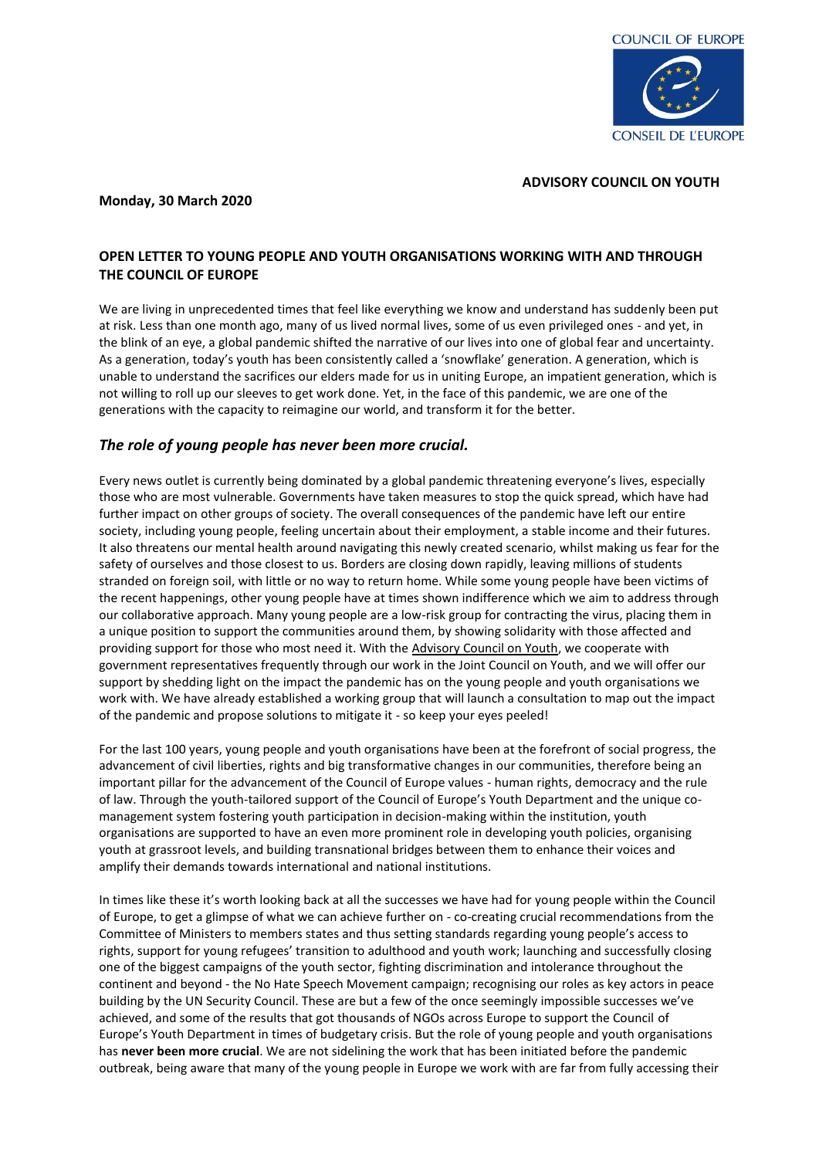

### **Monday, 30 March 2020**

### **ADVISORY COUNCIL ON YOUTH**

## **OPEN LETTER TO YOUNG PEOPLE AND YOUTH ORGANISATIONS WORKING WITH AND THROUGH THE COUNCIL OF EUROPE**

We are living in unprecedented times that feel like everything we know and understand has suddenly been put at risk. Less than one month ago, many of us lived normal lives, some of us even privileged ones - and yet, in the blink of an eye, a global pandemic shifted the narrative of our lives into one of global fear and uncertainty. As a generation, today's youth has been consistently called a 'snowflake' generation. A generation, which is unable to understand the sacrifices our elders made for us in uniting Europe, an impatient generation, which is not willing to roll up our sleeves to get work done. Yet, in the face of this pandemic, we are one of the generations with the capacity to reimagine our world, and transform it for the better.

# *The role of young people has never been more crucial.*

Every news outlet is currently being dominated by a global pandemic threatening everyone's lives, especially those who are most vulnerable. Governments have taken measures to stop the quick spread, which have had further impact on other groups of society. The overall consequences of the pandemic have left our entire society, including young people, feeling uncertain about their employment, a stable income and their futures. It also threatens our mental health around navigating this newly created scenario, whilst making us fear for the safety of ourselves and those closest to us. Borders are closing down rapidly, leaving millions of students stranded on foreign soil, with little or no way to return home. While some young people have been victims of the recent happenings, other young people have at times shown indifference which we aim to address through our collaborative approach. Many young people are a low-risk group for contracting the virus, placing them in a unique position to support the communities around them, by showing solidarity with those affected and providing support for those who most need it. With th[e Advisory Council on Youth,](https://l.facebook.com/l.php?u=https%3A%2F%2Fwww.coe.int%2Fen%2Fweb%2Fyouth%2Fadvisory-council-on-youth%3Ffbclid%3DIwAR2dGO2FS3W_N6jF82ETP4iFSSfVUEUxjEa1P8IchMXlklPpV8cM0E7eQSg&h=AT1H-M8wH8xvBHyfkiTBQjTjmS_VskVfp1ukO9Ky-yEgKVZ8whAXIirOo1T4XKVIDeFSUm4b4bcfF0H9cuJE053NLaus9m09MCXScprUsci5l_bFKaIpvEiBFyW1xPmPGIjjWw) we cooperate with government representatives frequently through our work in the Joint Council on Youth, and we will offer our support by shedding light on the impact the pandemic has on the young people and youth organisations we work with. We have already established a working group that will launch a consultation to map out the impact of the pandemic and propose solutions to mitigate it - so keep your eyes peeled!

For the last 100 years, young people and youth organisations have been at the forefront of social progress, the advancement of civil liberties, rights and big transformative changes in our communities, therefore being an important pillar for the advancement of the Council of Europe values - human rights, democracy and the rule of law. Through the youth-tailored support of the Council of Europe's Youth Department and the unique comanagement system fostering youth participation in decision-making within the institution, youth organisations are supported to have an even more prominent role in developing youth policies, organising youth at grassroot levels, and building transnational bridges between them to enhance their voices and amplify their demands towards international and national institutions.

In times like these it's worth looking back at all the successes we have had for young people within the Council of Europe, to get a glimpse of what we can achieve further on - co-creating crucial recommendations from the Committee of Ministers to members states and thus setting standards regarding young people's access to rights, support for young refugees' transition to adulthood and youth work; launching and successfully closing one of the biggest campaigns of the youth sector, fighting discrimination and intolerance throughout the continent and beyond - the No Hate Speech Movement campaign; recognising our roles as key actors in peace building by the UN Security Council. These are but a few of the once seemingly impossible successes we've achieved, and some of the results that got thousands of NGOs across Europe to support the Council of Europe's Youth Department in times of budgetary crisis. But the role of young people and youth organisations has **never been more crucial**. We are not sidelining the work that has been initiated before the pandemic outbreak, being aware that many of the young people in Europe we work with are far from fully accessing their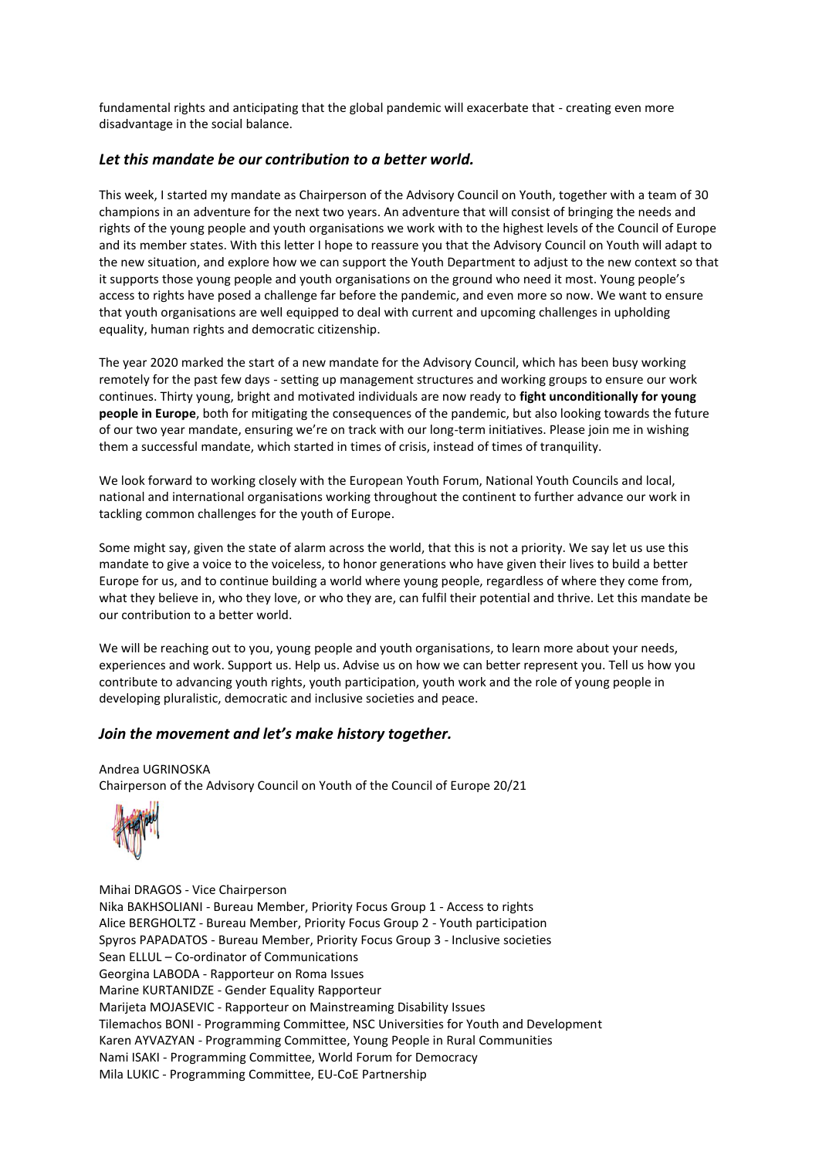fundamental rights and anticipating that the global pandemic will exacerbate that - creating even more disadvantage in the social balance.

## *Let this mandate be our contribution to a better world.*

This week, I started my mandate as Chairperson of the Advisory Council on Youth, together with a team of 30 champions in an adventure for the next two years. An adventure that will consist of bringing the needs and rights of the young people and youth organisations we work with to the highest levels of the Council of Europe and its member states. With this letter I hope to reassure you that the Advisory Council on Youth will adapt to the new situation, and explore how we can support the Youth Department to adjust to the new context so that it supports those young people and youth organisations on the ground who need it most. Young people's access to rights have posed a challenge far before the pandemic, and even more so now. We want to ensure that youth organisations are well equipped to deal with current and upcoming challenges in upholding equality, human rights and democratic citizenship.

The year 2020 marked the start of a new mandate for the Advisory Council, which has been busy working remotely for the past few days - setting up management structures and working groups to ensure our work continues. Thirty young, bright and motivated individuals are now ready to **fight unconditionally for young people in Europe**, both for mitigating the consequences of the pandemic, but also looking towards the future of our two year mandate, ensuring we're on track with our long-term initiatives. Please join me in wishing them a successful mandate, which started in times of crisis, instead of times of tranquility.

We look forward to working closely with the European Youth Forum, National Youth Councils and local, national and international organisations working throughout the continent to further advance our work in tackling common challenges for the youth of Europe.

Some might say, given the state of alarm across the world, that this is not a priority. We say let us use this mandate to give a voice to the voiceless, to honor generations who have given their lives to build a better Europe for us, and to continue building a world where young people, regardless of where they come from, what they believe in, who they love, or who they are, can fulfil their potential and thrive. Let this mandate be our contribution to a better world.

We will be reaching out to you, young people and youth organisations, to learn more about your needs, experiences and work. Support us. Help us. Advise us on how we can better represent you. Tell us how you contribute to advancing youth rights, youth participation, youth work and the role of young people in developing pluralistic, democratic and inclusive societies and peace.

## *Join the movement and let's make history together.*

### Andrea UGRINOSKA Chairperson of the Advisory Council on Youth of the Council of Europe 20/21



Mihai DRAGOS - Vice Chairperson Nika BAKHSOLIANI - Bureau Member, Priority Focus Group 1 - Access to rights Alice BERGHOLTZ - Bureau Member, Priority Focus Group 2 - Youth participation Spyros PAPADATOS - Bureau Member, Priority Focus Group 3 - Inclusive societies Sean ELLUL – Co-ordinator of Communications Georgina LABODA - Rapporteur on Roma Issues Marine KURTANIDZE - Gender Equality Rapporteur Marijeta MOJASEVIC - Rapporteur on Mainstreaming Disability Issues Tilemachos BONI - Programming Committee, NSC Universities for Youth and Development Karen AYVAZYAN - Programming Committee, Young People in Rural Communities Nami ISAKI - Programming Committee, World Forum for Democracy Mila LUKIC - Programming Committee, EU-CoE Partnership